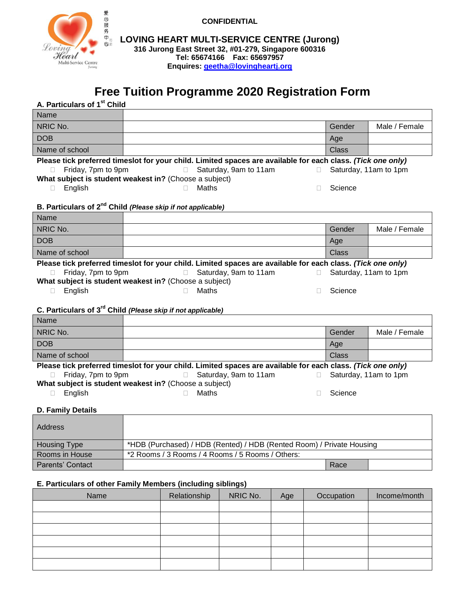

**CONFIDENTIAL**

**LOVING HEART MULTI-SERVICE CENTRE (Jurong) 316 Jurong East Street 32, #01-279, Singapore 600316 Tel: 65674166 Fax: 65697957 Enquires: [geetha@lovingheartj.org](mailto:geetha@lovingheartj.org)**

# **Free Tuition Programme 2020 Registration Form**

## **A. Particulars of 1 st Child**

| Name                                                                                                        |  |        |               |
|-------------------------------------------------------------------------------------------------------------|--|--------|---------------|
| NRIC No.                                                                                                    |  | Gender | Male / Female |
| <b>DOB</b>                                                                                                  |  | Age    |               |
| Name of school                                                                                              |  | Class  |               |
| Please tick preferred timeslot for your child. Limited spaces are available for each class. (Tick one only) |  |        |               |

| $\Box$ Friday, 7pm to 9pm                              |  | □ Saturday, 9am to 11am | $\Box$ Saturday, 11am to 1pm |
|--------------------------------------------------------|--|-------------------------|------------------------------|
| What subject is student weakest in? (Choose a subject) |  |                         |                              |

English Maths Science

| B. Particulars of 2 <sup>nd</sup> Child (Please skip if not applicable)                                     |                       |        |                       |  |  |
|-------------------------------------------------------------------------------------------------------------|-----------------------|--------|-----------------------|--|--|
| Name                                                                                                        |                       |        |                       |  |  |
| NRIC No.                                                                                                    |                       | Gender | Male / Female         |  |  |
| <b>DOB</b>                                                                                                  |                       | Age    |                       |  |  |
| Name of school                                                                                              |                       | Class  |                       |  |  |
| Please tick preferred timeslot for your child. Limited spaces are available for each class. (Tick one only) |                       |        |                       |  |  |
| Friday, 7pm to 9pm                                                                                          | Saturday, 9am to 11am |        | Saturday, 11am to 1pm |  |  |

**What subject is student weakest in?** (Choose a subject)

English Maths Science

# C. Particulars of 3<sup>rd</sup> Child *(Please skip if not applicable)*

| Name                                                                                                        |                       |              |                       |  |  |
|-------------------------------------------------------------------------------------------------------------|-----------------------|--------------|-----------------------|--|--|
| NRIC No.                                                                                                    |                       | Gender       | Male / Female         |  |  |
| <b>DOB</b>                                                                                                  |                       | Age          |                       |  |  |
| Name of school                                                                                              |                       | <b>Class</b> |                       |  |  |
| Please tick preferred timeslot for your child. Limited spaces are available for each class. (Tick one only) |                       |              |                       |  |  |
| Friday, 7pm to 9pm                                                                                          | Saturday, 9am to 11am |              | Saturday, 11am to 1pm |  |  |
| What subject is student weakest in? (Choose a subject)                                                      |                       |              |                       |  |  |
| Enalish                                                                                                     | Maths                 | Science      |                       |  |  |

## **D. Family Details**

| <b>Address</b>      |                                                                       |      |  |
|---------------------|-----------------------------------------------------------------------|------|--|
| <b>Housing Type</b> | *HDB (Purchased) / HDB (Rented) / HDB (Rented Room) / Private Housing |      |  |
| Rooms in House      | *2 Rooms / 3 Rooms / 4 Rooms / 5 Rooms / Others:                      |      |  |
| Parents' Contact    |                                                                       | Race |  |

# **E. Particulars of other Family Members (including siblings)**

| Name | Relationship | NRIC No. | Age | Occupation | Income/month |
|------|--------------|----------|-----|------------|--------------|
|      |              |          |     |            |              |
|      |              |          |     |            |              |
|      |              |          |     |            |              |
|      |              |          |     |            |              |
|      |              |          |     |            |              |
|      |              |          |     |            |              |